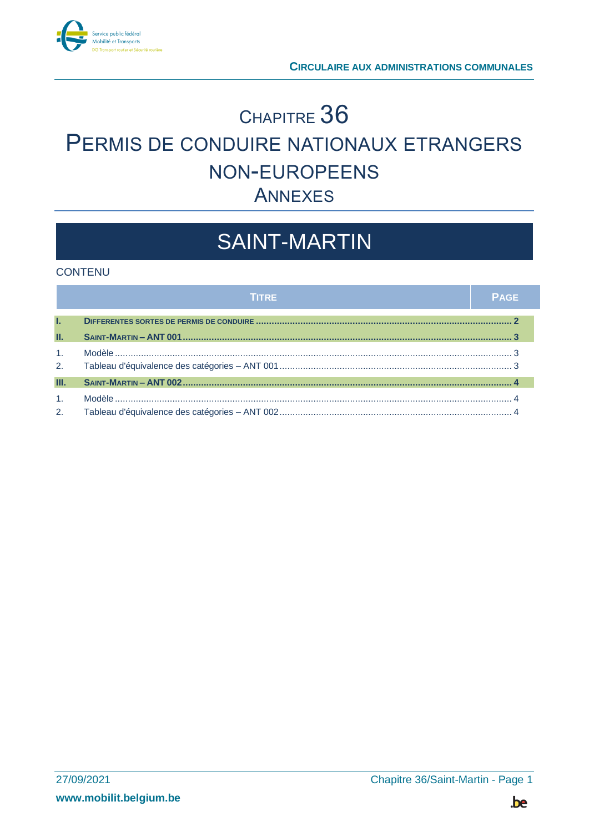

## <sup>C</sup>HAPITRE 36 PERMIS DE CONDUIRE NATIONAUX ETRANGERS NON-EUROPEENS ANNEXES

# SAINT-MARTIN

#### **CONTENU**

|                | <b>TITRE</b> | <b>PAGE</b> |
|----------------|--------------|-------------|
| T.             |              |             |
| Ш.             |              |             |
| 1 <sub>1</sub> |              |             |
| 2.             |              |             |
| Ш.             |              |             |
| 1 <sup>1</sup> |              |             |
| 2.             |              |             |

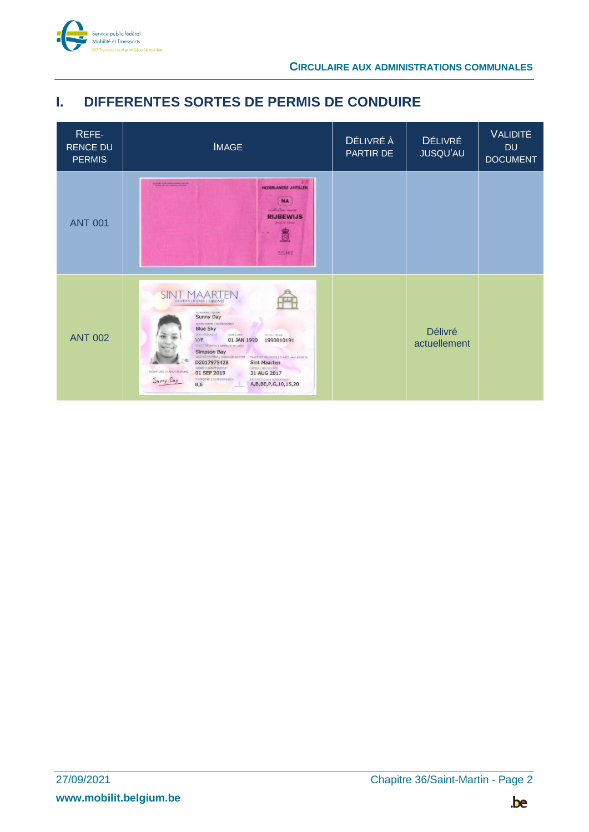

### <span id="page-1-0"></span>**I. DIFFERENTES SORTES DE PERMIS DE CONDUIRE**

| REFE-<br><b>RENCE DU</b><br><b>PERMIS</b> | <b>IMAGE</b>                                                                                                                                                                                                                                                                                                                                                                                                                                                                                                                                                                  | DÉLIVRÉ À<br>PARTIR DE | <b>DÉLIVRÉ</b><br><b>JUSQU'AU</b> | <b>VALIDITÉ</b><br><b>DU</b><br><b>DOCUMENT</b> |
|-------------------------------------------|-------------------------------------------------------------------------------------------------------------------------------------------------------------------------------------------------------------------------------------------------------------------------------------------------------------------------------------------------------------------------------------------------------------------------------------------------------------------------------------------------------------------------------------------------------------------------------|------------------------|-----------------------------------|-------------------------------------------------|
| <b>ANT 001</b>                            | <b>FOR STORES TOP</b><br>NEDDRAMDSE ANTILLEN.<br><b>NA</b><br><b>ISLAND HALL</b><br><b>RIJBEWIJS</b><br><b>Carl And A</b><br>в<br>221102                                                                                                                                                                                                                                                                                                                                                                                                                                      |                        |                                   |                                                 |
| <b>ANT 002</b>                            | DRIVER'S LICENSE   RIJBEWIJS<br>SURNAME   NAAM<br>GIVEN NAME   VOORNAMEN<br><b>Blue Sky</b><br>SEX   GESLACHT<br>DOB   GEB<br>ID No.   ID-Nr.<br>V/F<br>01 JAN 1990<br>1990010191<br>PLACE OF BIRTH   GEBOORTEPLAATS<br>Simpson Bay<br>LICENSE NUMBER   RIJBEWIJSNUMMER<br>PLACE OF ISSUANCE   PLAATS VAN AFGIFTE<br>D2017975428<br><b>Sint Maarten</b><br>ISSUED   AFGIFTEDATUM<br>EXPIRY   GELDIG TOT<br>SIGNATURE   HANDTEKENING<br>01 SEP 2019<br>31 AUG 2017<br>CATEGORY I CATEGORIE(EN)<br><b>RESTRICTIONS   BEPERKINGEN</b><br>Sunny Day<br>A,B,BE,P,G,10,15,20<br>B,E |                        | <b>Délivré</b><br>actuellement    |                                                 |

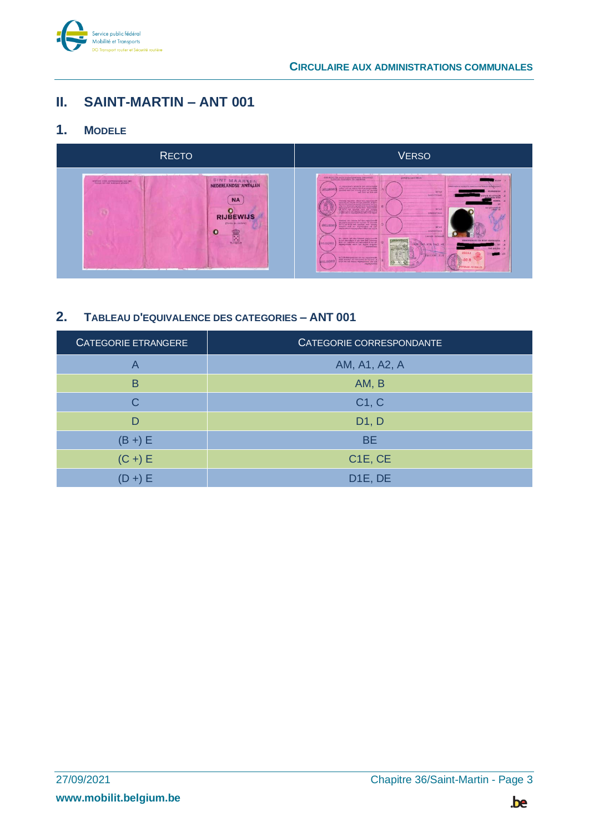

## <span id="page-2-0"></span>**II. SAINT-MARTIN – ANT 001**

#### <span id="page-2-1"></span>**1. MODELE**



### <span id="page-2-2"></span>**2. TABLEAU D'EQUIVALENCE DES CATEGORIES – ANT 001**

| <b>CATEGORIE ETRANGERE</b> | <b>CATEGORIE CORRESPONDANTE</b>  |
|----------------------------|----------------------------------|
| A                          | AM, A1, A2, A                    |
| B                          | AM, B                            |
| C                          | C1, C                            |
| D                          | D1, D                            |
| $(B +) E$                  | <b>BE</b>                        |
| $(C +) E$                  | C <sub>1</sub> E, C <sub>E</sub> |
| (D +) E                    | D <sub>1E</sub> , DE             |